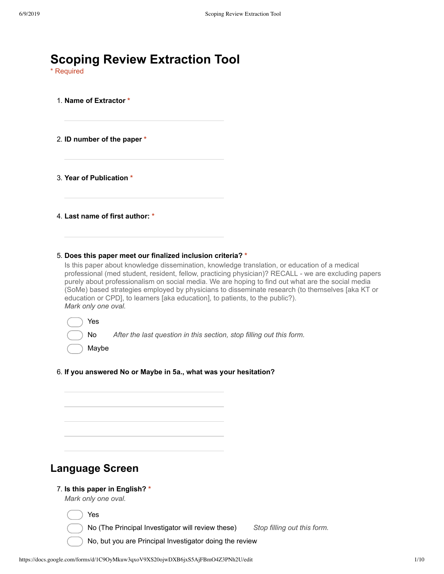| <b>Scoping Review Extraction Tool</b><br>* Required                                                                                                                                                                                                                                                                                                                                                                                                                                                                                                                                   |
|---------------------------------------------------------------------------------------------------------------------------------------------------------------------------------------------------------------------------------------------------------------------------------------------------------------------------------------------------------------------------------------------------------------------------------------------------------------------------------------------------------------------------------------------------------------------------------------|
| 1. Name of Extractor *                                                                                                                                                                                                                                                                                                                                                                                                                                                                                                                                                                |
| 2. ID number of the paper *                                                                                                                                                                                                                                                                                                                                                                                                                                                                                                                                                           |
| 3. Year of Publication *                                                                                                                                                                                                                                                                                                                                                                                                                                                                                                                                                              |
| 4. Last name of first author: *                                                                                                                                                                                                                                                                                                                                                                                                                                                                                                                                                       |
| 5. Does this paper meet our finalized inclusion criteria? *<br>Is this paper about knowledge dissemination, knowledge translation, or education of a medical<br>professional (med student, resident, fellow, practicing physician)? RECALL - we are excluding papers<br>purely about professionalism on social media. We are hoping to find out what are the social media<br>(SoMe) based strategies employed by physicians to disseminate research (to themselves [aka KT or<br>education or CPD], to learners [aka education], to patients, to the public?).<br>Mark only one oval. |
| Yes<br>After the last question in this section, stop filling out this form.<br>No<br>Maybe                                                                                                                                                                                                                                                                                                                                                                                                                                                                                            |
| 6. If you answered No or Maybe in 5a., what was your hesitation?                                                                                                                                                                                                                                                                                                                                                                                                                                                                                                                      |
|                                                                                                                                                                                                                                                                                                                                                                                                                                                                                                                                                                                       |
|                                                                                                                                                                                                                                                                                                                                                                                                                                                                                                                                                                                       |
| <b>Language Screen</b>                                                                                                                                                                                                                                                                                                                                                                                                                                                                                                                                                                |
| 7. Is this paper in English? *<br>Mark only one oval.                                                                                                                                                                                                                                                                                                                                                                                                                                                                                                                                 |
| Yes                                                                                                                                                                                                                                                                                                                                                                                                                                                                                                                                                                                   |
| No (The Principal Investigator will review these)<br>Stop filling out this form.                                                                                                                                                                                                                                                                                                                                                                                                                                                                                                      |
| No, but you are Principal Investigator doing the review                                                                                                                                                                                                                                                                                                                                                                                                                                                                                                                               |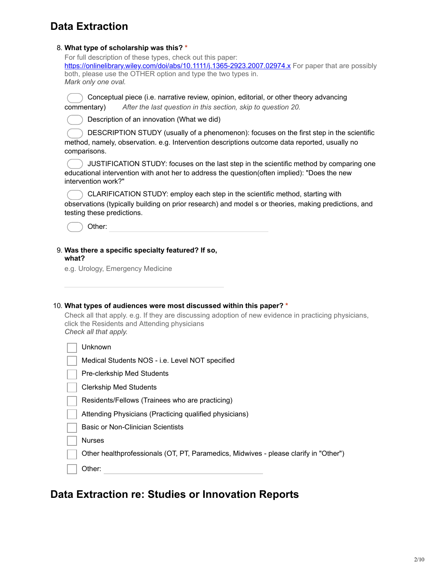# **Data Extraction**

| 8. What type of scholarship was this? *                                                                                                                                                                                                                   |
|-----------------------------------------------------------------------------------------------------------------------------------------------------------------------------------------------------------------------------------------------------------|
| For full description of these types, check out this paper:<br>https://onlinelibrary.wiley.com/doi/abs/10.1111/j.1365-2923.2007.02974.x For paper that are possibly<br>both, please use the OTHER option and type the two types in.<br>Mark only one oval. |
| Conceptual piece (i.e. narrative review, opinion, editorial, or other theory advancing<br>After the last question in this section, skip to question 20.<br>commentary)                                                                                    |
| Description of an innovation (What we did)                                                                                                                                                                                                                |
| DESCRIPTION STUDY (usually of a phenomenon): focuses on the first step in the scientific<br>method, namely, observation. e.g. Intervention descriptions outcome data reported, usually no<br>comparisons.                                                 |
| JUSTIFICATION STUDY: focuses on the last step in the scientific method by comparing one<br>educational intervention with anot her to address the question(often implied): "Does the new<br>intervention work?"                                            |
| CLARIFICATION STUDY: employ each step in the scientific method, starting with<br>observations (typically building on prior research) and model s or theories, making predictions, and<br>testing these predictions.                                       |
| Other:                                                                                                                                                                                                                                                    |
|                                                                                                                                                                                                                                                           |
| 9. Was there a specific specialty featured? If so,<br>what?<br>e.g. Urology, Emergency Medicine                                                                                                                                                           |
| 10. What types of audiences were most discussed within this paper? *<br>Check all that apply. e.g. If they are discussing adoption of new evidence in practicing physicians,<br>click the Residents and Attending physicians<br>Check all that apply.     |
| Unknown                                                                                                                                                                                                                                                   |
| Medical Students NOS - i.e. Level NOT specified                                                                                                                                                                                                           |
| Pre-clerkship Med Students                                                                                                                                                                                                                                |
| <b>Clerkship Med Students</b>                                                                                                                                                                                                                             |
| Residents/Fellows (Trainees who are practicing)                                                                                                                                                                                                           |
| Attending Physicians (Practicing qualified physicians)                                                                                                                                                                                                    |
| <b>Basic or Non-Clinician Scientists</b>                                                                                                                                                                                                                  |
| <b>Nurses</b>                                                                                                                                                                                                                                             |

# **Data Extraction re: Studies or Innovation Reports**

Other: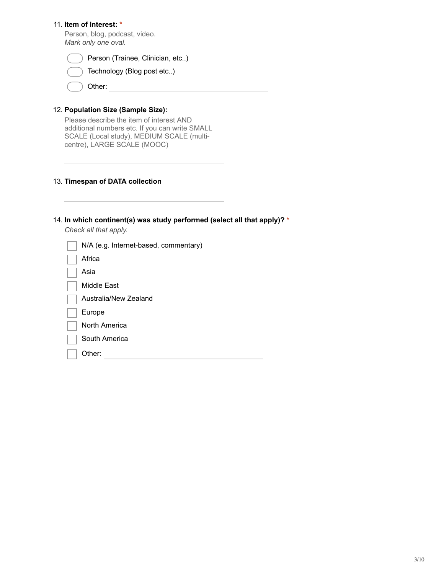## 11. **Item of Interest: \***

Person, blog, podcast, video. *Mark only one oval.*

| Person (Trainee, Clinician, etc) |
|----------------------------------|
| Technology (Blog post etc)       |

| Other: |  |
|--------|--|

## 12. **Population Size (Sample Size):**

Please describe the item of interest AND additional numbers etc. If you can write SMALL SCALE (Local study), MEDIUM SCALE (multicentre), LARGE SCALE (MOOC)

### 13. **Timespan of DATA collection**

### 14. **In which continent(s) was study performed (select all that apply)? \***

*Check all that apply.*

| N/A (e.g. Internet-based, commentary) |
|---------------------------------------|
| Africa                                |
| Asia                                  |
| Middle East                           |
| Australia/New Zealand                 |
| Europe                                |
| North America                         |
| South America                         |
| Other:                                |
|                                       |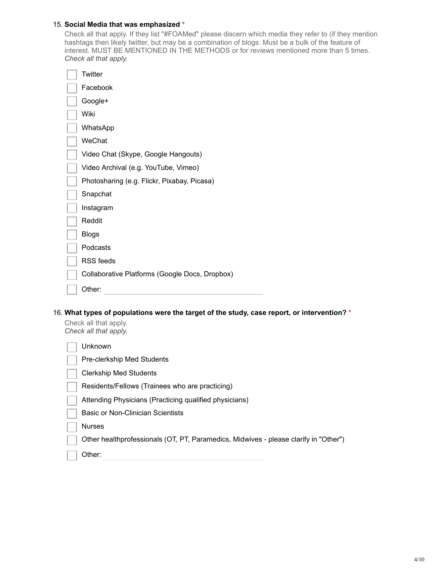### 15. **Social Media that was emphasized \***

Check all that apply. If they list "#FOAMed" please discern which media they refer to (if they mention hashtags then likely twitter, but may be a combination of blogs. Must be a bulk of the feature of interest. MUST BE MENTIONED IN THE METHODS or for reviews mentioned more than 5 times. *Check all that apply.*

| Twitter                                        |
|------------------------------------------------|
| Facebook                                       |
| Google+                                        |
| Wiki                                           |
| WhatsApp                                       |
| WeChat                                         |
| Video Chat (Skype, Google Hangouts)            |
| Video Archival (e.g. YouTube, Vimeo)           |
| Photosharing (e.g. Flickr, Pixabay, Picasa)    |
| Snapchat                                       |
| Instagram                                      |
| Reddit                                         |
| <b>Blogs</b>                                   |
| Podcasts                                       |
| <b>RSS</b> feeds                               |
| Collaborative Platforms (Google Docs, Dropbox) |
| Other:                                         |

16. **What types of populations were the target of the study, case report, or intervention? \***

Check all that apply. *Check all that apply.*

| Unknown                                                                              |
|--------------------------------------------------------------------------------------|
| Pre-clerkship Med Students                                                           |
| <b>Clerkship Med Students</b>                                                        |
| Residents/Fellows (Trainees who are practicing)                                      |
| Attending Physicians (Practicing qualified physicians)                               |
| Basic or Non-Clinician Scientists                                                    |
| <b>Nurses</b>                                                                        |
| Other healthprofessionals (OT, PT, Paramedics, Midwives - please clarify in "Other") |
| Other:                                                                               |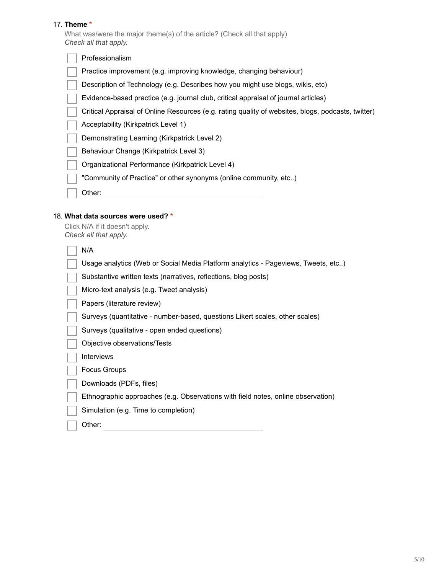## 17. **Theme \***

What was/were the major theme(s) of the article? (Check all that apply) *Check all that apply.*

| Professionalism                                                                                    |
|----------------------------------------------------------------------------------------------------|
| Practice improvement (e.g. improving knowledge, changing behaviour)                                |
| Description of Technology (e.g. Describes how you might use blogs, wikis, etc)                     |
| Evidence-based practice (e.g. journal club, critical appraisal of journal articles)                |
| Critical Appraisal of Online Resources (e.g. rating quality of websites, blogs, podcasts, twitter) |
| Acceptability (Kirkpatrick Level 1)                                                                |
| Demonstrating Learning (Kirkpatrick Level 2)                                                       |
| Behaviour Change (Kirkpatrick Level 3)                                                             |
| Organizational Performance (Kirkpatrick Level 4)                                                   |
| "Community of Practice" or other synonyms (online community, etc)                                  |
| Other:                                                                                             |
|                                                                                                    |

# 18. **What data sources were used? \***

| Click N/A if it doesn't apply. |
|--------------------------------|
| Check all that apply.          |

| N/A                                                                               |
|-----------------------------------------------------------------------------------|
| Usage analytics (Web or Social Media Platform analytics - Pageviews, Tweets, etc) |
| Substantive written texts (narratives, reflections, blog posts)                   |
| Micro-text analysis (e.g. Tweet analysis)                                         |
| Papers (literature review)                                                        |
| Surveys (quantitative - number-based, questions Likert scales, other scales)      |
| Surveys (qualitative - open ended questions)                                      |
| Objective observations/Tests                                                      |
| <b>Interviews</b>                                                                 |
| Focus Groups                                                                      |
| Downloads (PDFs, files)                                                           |
| Ethnographic approaches (e.g. Observations with field notes, online observation)  |
| Simulation (e.g. Time to completion)                                              |
| Other:                                                                            |
|                                                                                   |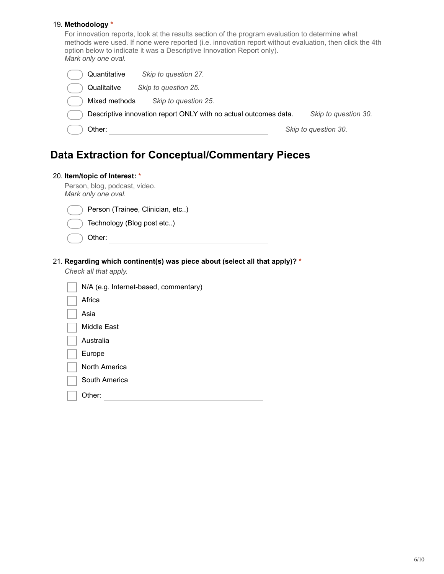### 19. **Methodology \***

For innovation reports, look at the results section of the program evaluation to determine what methods were used. If none were reported (i.e. innovation report without evaluation, then click the 4th option below to indicate it was a Descriptive Innovation Report only). *Mark only one oval.*

| Quantitative  | Skip to question 27.                                             |                      |
|---------------|------------------------------------------------------------------|----------------------|
| Qualitaitve   | Skip to question 25.                                             |                      |
| Mixed methods | Skip to question 25.                                             |                      |
|               | Descriptive innovation report ONLY with no actual outcomes data. | Skip to question 30. |
| Other:        |                                                                  | Skip to question 30. |

# **Data Extraction for Conceptual/Commentary Pieces**

### 20. **Item/topic of Interest: \***

Person, blog, podcast, video. *Mark only one oval.* Person (Trainee, Clinician, etc..) Technology (Blog post etc..) Other:

## 21. **Regarding which continent(s) was piece about (select all that apply)? \***

*Check all that apply.*

| N/A (e.g. Internet-based, commentary) |
|---------------------------------------|
| Africa                                |
| Asia                                  |
| Middle East                           |
| Australia                             |
| Europe                                |
| North America                         |
| South America                         |
| Other:                                |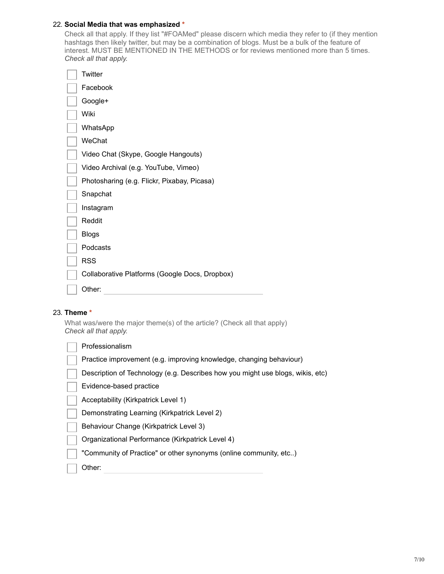## 22. **Social Media that was emphasized \***

Check all that apply. If they list "#FOAMed" please discern which media they refer to (if they mention hashtags then likely twitter, but may be a combination of blogs. Must be a bulk of the feature of interest. MUST BE MENTIONED IN THE METHODS or for reviews mentioned more than 5 times. *Check all that apply.*

| Twitter                                        |
|------------------------------------------------|
| Facebook                                       |
| Google+                                        |
| Wiki                                           |
| WhatsApp                                       |
| WeChat                                         |
| Video Chat (Skype, Google Hangouts)            |
| Video Archival (e.g. YouTube, Vimeo)           |
| Photosharing (e.g. Flickr, Pixabay, Picasa)    |
| Snapchat                                       |
| Instagram                                      |
| Reddit                                         |
| <b>Blogs</b>                                   |
| Podcasts                                       |
| <b>RSS</b>                                     |
| Collaborative Platforms (Google Docs, Dropbox) |
| Other:                                         |

### 23. **Theme \***

What was/were the major theme(s) of the article? (Check all that apply) *Check all that apply.*

| Professionalism                                                                |
|--------------------------------------------------------------------------------|
| Practice improvement (e.g. improving knowledge, changing behaviour)            |
| Description of Technology (e.g. Describes how you might use blogs, wikis, etc) |
| Evidence-based practice                                                        |
| Acceptability (Kirkpatrick Level 1)                                            |
| Demonstrating Learning (Kirkpatrick Level 2)                                   |
| Behaviour Change (Kirkpatrick Level 3)                                         |
| Organizational Performance (Kirkpatrick Level 4)                               |
| "Community of Practice" or other synonyms (online community, etc)              |
| Other:                                                                         |
|                                                                                |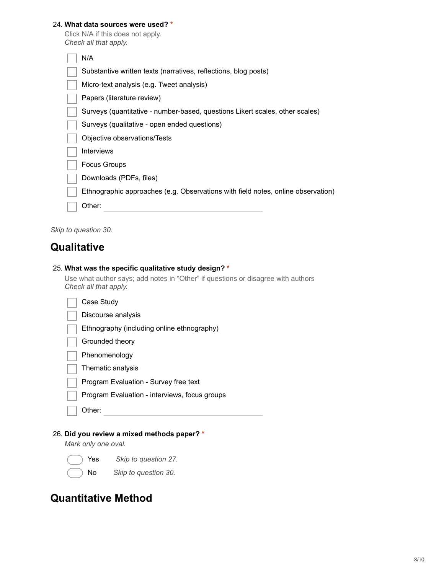## 24. **What data sources were used? \***

|                       |  |  | Click N/A if this does not apply. |
|-----------------------|--|--|-----------------------------------|
| Check all that apply. |  |  |                                   |

| N/A                                                                              |
|----------------------------------------------------------------------------------|
| Substantive written texts (narratives, reflections, blog posts)                  |
| Micro-text analysis (e.g. Tweet analysis)                                        |
| Papers (literature review)                                                       |
| Surveys (quantitative - number-based, questions Likert scales, other scales)     |
| Surveys (qualitative - open ended questions)                                     |
| Objective observations/Tests                                                     |
| Interviews                                                                       |
| <b>Focus Groups</b>                                                              |
| Downloads (PDFs, files)                                                          |
| Ethnographic approaches (e.g. Observations with field notes, online observation) |
| Other:                                                                           |
|                                                                                  |

*Skip to question 30.*

# **Qualitative**

|  |  | 25. What was the specific qualitative study design? * |  |  |
|--|--|-------------------------------------------------------|--|--|
|  |  |                                                       |  |  |

Use what author says; add notes in "Other" if questions or disagree with authors *Check all that apply.*

| Case Study                                    |
|-----------------------------------------------|
| Discourse analysis                            |
| Ethnography (including online ethnography)    |
| Grounded theory                               |
| Phenomenology                                 |
| Thematic analysis                             |
| Program Evaluation - Survey free text         |
| Program Evaluation - interviews, focus groups |
| Other:                                        |
|                                               |
| 26. Did you review a mixed methods paper? *   |

*Mark only one oval.*

Yes *Skip to question 27.*

No *Skip to question 30.*

# **Quantitative Method**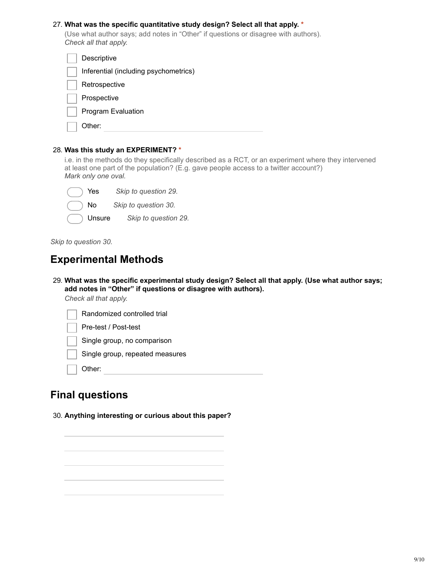## 27. **What was the specific quantitative study design? Select all that apply. \***

(Use what author says; add notes in "Other" if questions or disagree with authors). *Check all that apply.*

| Descriptive                           |
|---------------------------------------|
| Inferential (including psychometrics) |
| Retrospective                         |
| Prospective                           |
| Program Evaluation                    |
| Other:                                |

#### 28. **Was this study an EXPERIMENT? \***

i.e. in the methods do they specifically described as a RCT, or an experiment where they intervened at least one part of the population? (E.g. gave people access to a twitter account?) *Mark only one oval.*

| Ye     |  |
|--------|--|
| Nc     |  |
| r<br>ı |  |

**Example 3 Skip to question 29.** 

No *Skip to question 30.*

Unsure *Skip to question 29.*

*Skip to question 30.*

# **Experimental Methods**

29. **What was the specific experimental study design? Select all that apply. (Use what author says; add notes in "Other" if questions or disagree with authors).**

*Check all that apply.*

| Randomized controlled trial     |
|---------------------------------|
| Pre-test / Post-test            |
| Single group, no comparison     |
| Single group, repeated measures |
| Other:                          |
|                                 |

# **Final questions**

30. **Anything interesting or curious about this paper?**